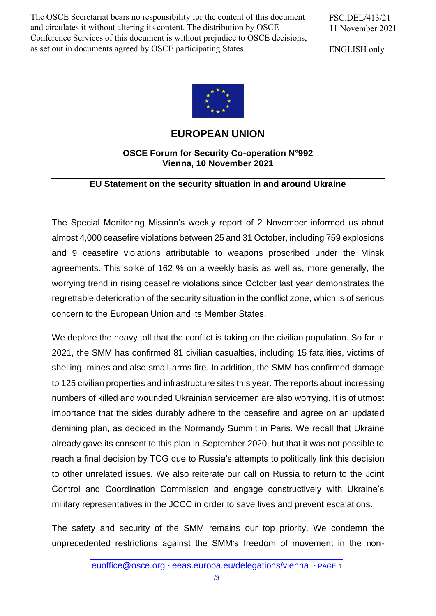The OSCE Secretariat bears no responsibility for the content of this document and circulates it without altering its content. The distribution by OSCE Conference Services of this document is without prejudice to OSCE decisions, as set out in documents agreed by OSCE participating States.

FSC.DEL/413/21 11 November 2021

ENGLISH only



**EUROPEAN UNION**

## **OSCE Forum for Security Co-operation N°992 Vienna, 10 November 2021**

## **EU Statement on the security situation in and around Ukraine**

The Special Monitoring Mission's weekly report of 2 November informed us about almost 4,000 ceasefire violations between 25 and 31 October, including 759 explosions and 9 ceasefire violations attributable to weapons proscribed under the Minsk agreements. This spike of 162 % on a weekly basis as well as, more generally, the worrying trend in rising ceasefire violations since October last year demonstrates the regrettable deterioration of the security situation in the conflict zone, which is of serious concern to the European Union and its Member States.

We deplore the heavy toll that the conflict is taking on the civilian population. So far in 2021, the SMM has confirmed 81 civilian casualties, including 15 fatalities, victims of shelling, mines and also small-arms fire. In addition, the SMM has confirmed damage to 125 civilian properties and infrastructure sites this year. The reports about increasing numbers of killed and wounded Ukrainian servicemen are also worrying. It is of utmost importance that the sides durably adhere to the ceasefire and agree on an updated demining plan, as decided in the Normandy Summit in Paris. We recall that Ukraine already gave its consent to this plan in September 2020, but that it was not possible to reach a final decision by TCG due to Russia's attempts to politically link this decision to other unrelated issues. We also reiterate our call on Russia to return to the Joint Control and Coordination Commission and engage constructively with Ukraine's military representatives in the JCCC in order to save lives and prevent escalations.

The safety and security of the SMM remains our top priority. We condemn the unprecedented restrictions against the SMM's freedom of movement in the non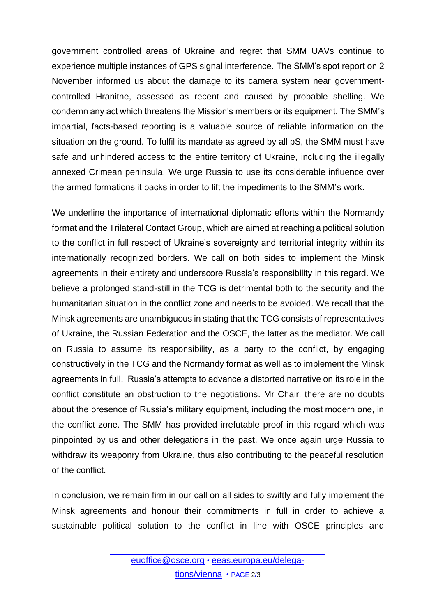government controlled areas of Ukraine and regret that SMM UAVs continue to experience multiple instances of GPS signal interference. The SMM's spot report on 2 November informed us about the damage to its camera system near governmentcontrolled Hranitne, assessed as recent and caused by probable shelling. We condemn any act which threatens the Mission's members or its equipment. The SMM's impartial, facts-based reporting is a valuable source of reliable information on the situation on the ground. To fulfil its mandate as agreed by all pS, the SMM must have safe and unhindered access to the entire territory of Ukraine, including the illegally annexed Crimean peninsula. We urge Russia to use its considerable influence over the armed formations it backs in order to lift the impediments to the SMM's work.

We underline the importance of international diplomatic efforts within the Normandy format and the Trilateral Contact Group, which are aimed at reaching a political solution to the conflict in full respect of Ukraine's sovereignty and territorial integrity within its internationally recognized borders. We call on both sides to implement the Minsk agreements in their entirety and underscore Russia's responsibility in this regard. We believe a prolonged stand-still in the TCG is detrimental both to the security and the humanitarian situation in the conflict zone and needs to be avoided. We recall that the Minsk agreements are unambiguous in stating that the TCG consists of representatives of Ukraine, the Russian Federation and the OSCE, the latter as the mediator. We call on Russia to assume its responsibility, as a party to the conflict, by engaging constructively in the TCG and the Normandy format as well as to implement the Minsk agreements in full. Russia's attempts to advance a distorted narrative on its role in the conflict constitute an obstruction to the negotiations. Mr Chair, there are no doubts about the presence of Russia's military equipment, including the most modern one, in the conflict zone. The SMM has provided irrefutable proof in this regard which was pinpointed by us and other delegations in the past. We once again urge Russia to withdraw its weaponry from Ukraine, thus also contributing to the peaceful resolution of the conflict.

In conclusion, we remain firm in our call on all sides to swiftly and fully implement the Minsk agreements and honour their commitments in full in order to achieve a sustainable political solution to the conflict in line with OSCE principles and